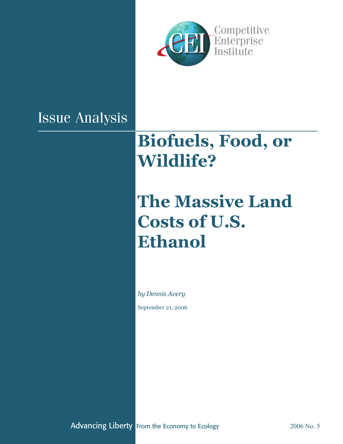

## Issue Analysis

# **Biofuels, Food, or Wildlife?**

# **The Massive Land Costs of U.S. Ethanol**

*by Dennis Avery*

September 21, 2006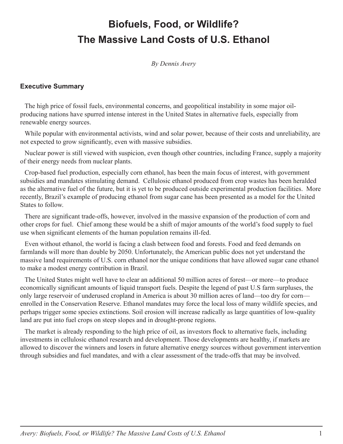## **Biofuels, Food, or Wildlife? The Massive Land Costs of U.S. Ethanol**

*By Dennis Avery*

#### **Executive Summary**

The high price of fossil fuels, environmental concerns, and geopolitical instability in some major oilproducing nations have spurred intense interest in the United States in alternative fuels, especially from renewable energy sources.

While popular with environmental activists, wind and solar power, because of their costs and unreliability, are not expected to grow significantly, even with massive subsidies.

Nuclear power is still viewed with suspicion, even though other countries, including France, supply a majority of their energy needs from nuclear plants.

Crop-based fuel production, especially corn ethanol, has been the main focus of interest, with government subsidies and mandates stimulating demand. Cellulosic ethanol produced from crop wastes has been heralded as the alternative fuel of the future, but it is yet to be produced outside experimental production facilities. More recently, Brazil's example of producing ethanol from sugar cane has been presented as a model for the United States to follow.

There are significant trade-offs, however, involved in the massive expansion of the production of corn and other crops for fuel. Chief among these would be a shift of major amounts of the world's food supply to fuel use when significant elements of the human population remains ill-fed.

Even without ethanol, the world is facing a clash between food and forests. Food and feed demands on farmlands will more than double by 2050. Unfortunately, the American public does not yet understand the massive land requirements of U.S. corn ethanol nor the unique conditions that have allowed sugar cane ethanol to make a modest energy contribution in Brazil.

The United States might well have to clear an additional 50 million acres of forest—or more—to produce economically significant amounts of liquid transport fuels. Despite the legend of past U.S farm surpluses, the only large reservoir of underused cropland in America is about 30 million acres of land—too dry for corn enrolled in the Conservation Reserve. Ethanol mandates may force the local loss of many wildlife species, and perhaps trigger some species extinctions. Soil erosion will increase radically as large quantities of low-quality land are put into fuel crops on steep slopes and in drought-prone regions.

The market is already responding to the high price of oil, as investors flock to alternative fuels, including investments in cellulosic ethanol research and development. Those developments are healthy, if markets are allowed to discover the winners and losers in future alternative energy sources without government intervention through subsidies and fuel mandates, and with a clear assessment of the trade-offs that may be involved.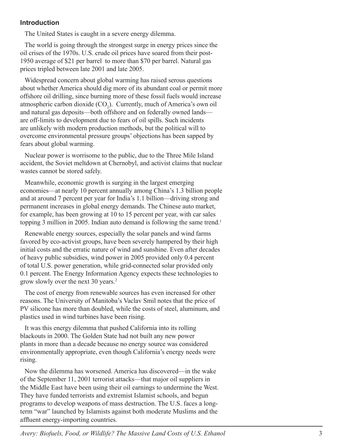#### **Introduction**

The United States is caught in a severe energy dilemma.

The world is going through the strongest surge in energy prices since the oil crises of the 1970s. U.S. crude oil prices have soared from their post-1950 average of \$21 per barrel to more than \$70 per barrel. Natural gas prices tripled between late 2001 and late 2005.

Widespread concern about global warming has raised serous questions about whether America should dig more of its abundant coal or permit more offshore oil drilling, since burning more of these fossil fuels would increase atmospheric carbon dioxide (CO 2 ). Currently, much of America's own oil and natural gas deposits—both offshore and on federally owned lands are off-limits to development due to fears of oil spills. Such incidents are unlikely with modern production methods, but the political will to overcome environmental pressure groups' objections has been sapped by fears about global warming.

Nuclear power is worrisome to the public, due to the Three Mile Island accident, the Soviet meltdown at Chernobyl, and activist claims that nuclear wastes cannot be stored safely.

Meanwhile, economic growth is surging in the largest emerging economies—at nearly 10 percent annually among China's 1.3 billion people and at around 7 percent per year for India's 1.1 billion—driving strong and permanent increases in global energy demands. The Chinese auto market, for example, has been growing at 10 to 15 percent per year, with car sales topping 3 million in 2005. Indian auto demand is following the same trend. 1

Renewable energy sources, especially the solar panels and wind farms favored by eco-activist groups, have been severely hampered by their high initial costs and the erratic nature of wind and sunshine. Even after decades of heavy public subsidies, wind power in 2005 provided only 0.4 percent of total U.S. power generation, while grid-connected solar provided only 0.1 percent. The Energy Information Agency expects these technologies to grow slowly over the next 30 years. 2

The cost of energy from renewable sources has even increased for other reasons. The University of Manitoba's Vaclav Smil notes that the price of PV silicone has more than doubled, while the costs of steel, aluminum, and plastics used in wind turbines have been rising.

It was this energy dilemma that pushed California into its rolling blackouts in 2000. The Golden State had not built any new power plants in more than a decade because no energy source was considered environmentally appropriate, even though California's energy needs were rising.

Now the dilemma has worsened. America has discovered—in the wake of the September 11, 2001 terrorist attacks—that major oil suppliers in the Middle East have been using their oil earnings to undermine the West. They have funded terrorists and extremist Islamist schools, and begun programs to develop weapons of mass destruction. The U.S. faces a longterm "war" launched by Islamists against both moderate Muslims and the affluent energy-importing countries.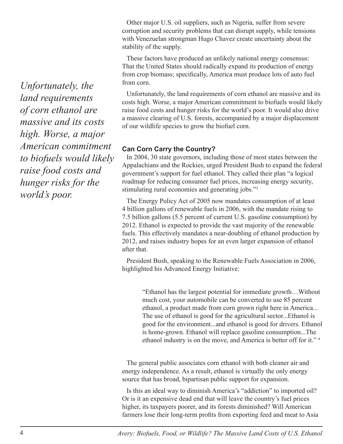Other major U.S. oil suppliers, such as Nigeria, suffer from severe corruption and security problems that can disrupt supply, while tensions with Venezuelan strongman Hugo Chavez create uncertainty about the stability of the supply.

These factors have produced an unlikely national energy consensus: That the United States should radically expand its production of energy from crop biomass; specifically, America must produce lots of auto fuel from corn.

Unfortunately, the land requirements of corn ethanol are massive and its costs high. Worse, a major American commitment to biofuels would likely raise food costs and hunger risks for the world's poor. It would also drive a massive clearing of U.S. forests, accompanied by a major displacement of our wildlife species to grow the biofuel corn.

#### **Can Corn Carry the Country?**

In 2004, 30 state governors, including those of most states between the Appalachians and the Rockies, urged President Bush to expand the federal government's support for fuel ethanol. They called their plan "a logical roadmap for reducing consumer fuel prices, increasing energy security, stimulating rural economies and generating jobs."3

The Energy Policy Act of 2005 now mandates consumption of at least 4 billion gallons of renewable fuels in 2006, with the mandate rising to 7.5 billion gallons (5.5 percent of current U.S. gasoline consumption) by 2012. Ethanol is expected to provide the vast majority of the renewable fuels. This effectively mandates a near-doubling of ethanol production by 2012, and raises industry hopes for an even larger expansion of ethanol after that.

President Bush, speaking to the Renewable Fuels Association in 2006, highlighted his Advanced Energy Initiative:

> "Ethanol has the largest potential for immediate growth…Without much cost, your automobile can be converted to use 85 percent ethanol, a product made from corn grown right here in America... The use of ethanol is good for the agricultural sector...Ethanol is good for the environment...and ethanol is good for drivers. Ethanol is home-grown. Ethanol will replace gasoline consumption...The ethanol industry is on the move, and America is better off for it." 4

The general public associates corn ethanol with both cleaner air and energy independence. As a result, ethanol is virtually the only energy source that has broad, bipartisan public support for expansion.

Is this an ideal way to diminish America's "addiction" to imported oil? Or is it an expensive dead end that will leave the country's fuel prices higher, its taxpayers poorer, and its forests diminished? Will American farmers lose their long-term profits from exporting feed and meat to Asia

*Unfortunately, the land requirements of corn ethanol are massive and its costs high. Worse, a major American commitment to biofuels would likely raise food costs and hunger risks for the world's poor.*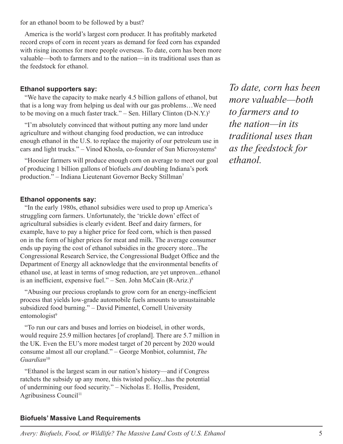for an ethanol boom to be followed by a bust?

America is the world's largest corn producer. It has profitably marketed record crops of corn in recent years as demand for feed corn has expanded with rising incomes for more people overseas. To date, corn has been more valuable—both to farmers and to the nation—in its traditional uses than as the feedstock for ethanol.

#### **Ethanol supporters say:**

"We have the capacity to make nearly 4.5 billion gallons of ethanol, but that is a long way from helping us deal with our gas problems…We need to be moving on a much faster track." – Sen. Hillary Clinton  $(D-N,Y)$ <sup>5</sup>

"I'm absolutely convinced that without putting any more land under agriculture and without changing food production, we can introduce enough ethanol in the U.S. to replace the majority of our petroleum use in cars and light trucks." – Vinod Khosla, co-founder of Sun Microsystems<sup>6</sup>

"Hoosier farmers will produce enough corn on average to meet our goal of producing 1 billion gallons of biofuels *and* doubling Indiana's pork production." – Indiana Lieutenant Governor Becky Stillman<sup>7</sup>

#### **Ethanol opponents say:**

"In the early 1980s, ethanol subsidies were used to prop up America's struggling corn farmers. Unfortunately, the 'trickle down' effect of agricultural subsidies is clearly evident. Beef and dairy farmers, for example, have to pay a higher price for feed corn, which is then passed on in the form of higher prices for meat and milk. The average consumer ends up paying the cost of ethanol subsidies in the grocery store...The Congressional Research Service, the Congressional Budget Office and the Department of Energy all acknowledge that the environmental benefits of ethanol use, at least in terms of smog reduction, are yet unproven...ethanol is an inefficient, expensive fuel." – Sen. John McCain  $(R-Ariz.)^8$ 

"Abusing our precious croplands to grow corn for an energy-inefficient process that yields low-grade automobile fuels amounts to unsustainable subsidized food burning." – David Pimentel, Cornell University entomologist<sup>9</sup>

"To run our cars and buses and lorries on biodeisel, in other words, would require 25.9 million hectares [of cropland]. There are 5.7 million in the UK. Even the EU's more modest target of 20 percent by 2020 would consume almost all our cropland." – George Monbiot, columnist, *The Guardian*<sup>10</sup>

"Ethanol is the largest scam in our nation's history—and if Congress ratchets the subsidy up any more, this twisted policy...has the potential of undermining our food security." – Nicholas E. Hollis, President, Agribusiness Council<sup>11</sup>

### *To date, corn has been more valuable—both to farmers and to the nation—in its traditional uses than as the feedstock for ethanol.*

#### **Biofuels' Massive Land Requirements**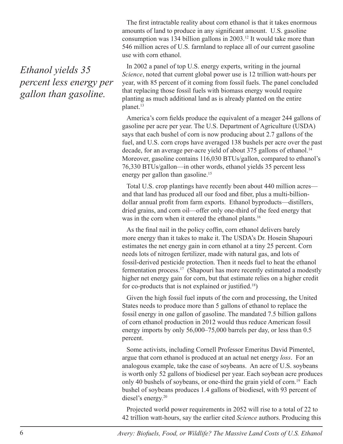*Ethanol yields 35 percent less energy per gallon than gasoline.*

The first intractable reality about corn ethanol is that it takes enormous amounts of land to produce in any significant amount. U.S. gasoline consumption was 134 billion gallons in 2003.12 It would take more than 546 million acres of U.S. farmland to replace all of our current gasoline use with corn ethanol.

In 2002 a panel of top U.S. energy experts, writing in the journal *Science*, noted that current global power use is 12 trillion watt-hours per year, with 85 percent of it coming from fossil fuels. The panel concluded that replacing those fossil fuels with biomass energy would require planting as much additional land as is already planted on the entire planet.<sup>13</sup>

America's corn fields produce the equivalent of a meager 244 gallons of gasoline per acre per year. The U.S. Department of Agriculture (USDA) says that each bushel of corn is now producing about 2.7 gallons of the fuel, and U.S. corn crops have averaged 138 bushels per acre over the past decade, for an average per-acre yield of about 375 gallons of ethanol.<sup>14</sup> Moreover, gasoline contains 116,030 BTUs/gallon, compared to ethanol's 76,330 BTUs/gallon—in other words, ethanol yields 35 percent less energy per gallon than gasoline.<sup>15</sup>

Total U.S. crop plantings have recently been about 440 million acres and that land has produced all our food and fiber, plus a multi-billiondollar annual profit from farm exports. Ethanol byproducts—distillers, dried grains, and corn oil—offer only one-third of the feed energy that was in the corn when it entered the ethanol plants.<sup>16</sup>

As the final nail in the policy coffin, corn ethanol delivers barely more energy than it takes to make it. The USDA's Dr. Hosein Shapouri estimates the net energy gain in corn ethanol at a tiny 25 percent. Corn needs lots of nitrogen fertilizer, made with natural gas, and lots of fossil-derived pesticide protection. Then it needs fuel to heat the ethanol fermentation process.17 (Shapouri has more recently estimated a modestly higher net energy gain for corn, but that estimate relies on a higher credit for co-products that is not explained or justified.<sup>18</sup>)

Given the high fossil fuel inputs of the corn and processing, the United States needs to produce more than 5 gallons of ethanol to replace the fossil energy in one gallon of gasoline. The mandated 7.5 billion gallons of corn ethanol production in 2012 would thus reduce American fossil energy imports by only 56,000–75,000 barrels per day, or less than 0.5 percent.

Some activists, including Cornell Professor Emeritus David Pimentel, argue that corn ethanol is produced at an actual net energy *loss*. For an analogous example, take the case of soybeans. An acre of U.S. soybeans is worth only 52 gallons of biodiesel per year. Each soybean acre produces only 40 bushels of soybeans, or one-third the grain yield of corn.<sup>19</sup> Each bushel of soybeans produces 1.4 gallons of biodiesel, with 93 percent of diesel's energy.<sup>20</sup>

Projected world power requirements in 2052 will rise to a total of 22 to 42 trillion watt-hours, say the earlier cited *Science* authors. Producing this

6 *Avery: Biofuels, Food, or Wildlife? The Massive Land Costs of U.S. Ethanol*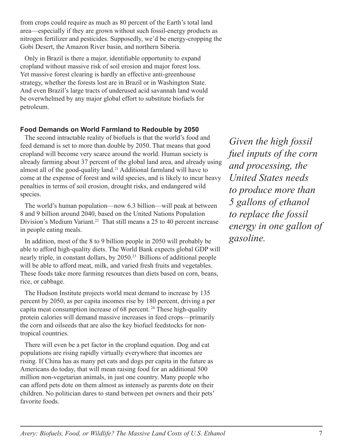from crops could require as much as 80 percent of the Earth's total land area—especially if they are grown without such fossil-energy products as nitrogen fertilizer and pesticides. Supposedly, we'd be energy-cropping the Gobi Desert, the Amazon River basin, and northern Siberia.

Only in Brazil is there a major, identifiable opportunity to expand cropland without massive risk of soil erosion and major forest loss. Yet massive forest clearing is hardly an effective anti-greenhouse strategy, whether the forests lost are in Brazil or in Washington State. And even Brazil's large tracts of underused acid savannah land would be overwhelmed by any major global effort to substitute biofuels for petroleum.

#### **Food Demands on World Farmland to Redouble by 2050**

The second intractable reality of biofuels is that the world's food and feed demand is set to more than double by 2050. That means that good cropland will become very scarce around the world. Human society is already farming about 37 percent of the global land area, and already using almost all of the good-quality land.21 Additional farmland will have to come at the expense of forest and wild species, and is likely to incur heavy penalties in terms of soil erosion, drought risks, and endangered wild species.

The world's human population—now 6.3 billion—will peak at between 8 and 9 billion around 2040, based on the United Nations Population Division's Medium Variant.<sup>22</sup> That still means a 25 to 40 percent increase in people eating meals.

In addition, most of the 8 to 9 billion people in 2050 will probably be able to afford high-quality diets. The World Bank expects global GDP will nearly triple, in constant dollars, by 2050.<sup>23</sup> Billions of additional people will be able to afford meat, milk, and varied fresh fruits and vegetables. These foods take more farming resources than diets based on corn, beans, rice, or cabbage.

The Hudson Institute projects world meat demand to increase by 135 percent by 2050, as per capita incomes rise by 180 percent, driving a per capita meat consumption increase of 68 percent. 24 These high-quality protein calories will demand massive increases in feed crops—primarily the corn and oilseeds that are also the key biofuel feedstocks for nontropical countries.

There will even be a pet factor in the cropland equation. Dog and cat populations are rising rapidly virtually everywhere that incomes are rising. If China has as many pet cats and dogs per capita in the future as Americans do today, that will mean raising food for an additional 500 million non-vegetarian animals, in just one country. Many people who can afford pets dote on them almost as intensely as parents dote on their children. No politician dares to stand between pet owners and their pets' favorite foods.

*Given the high fossil fuel inputs of the corn and processing, the United States needs to produce more than 5 gallons of ethanol to replace the fossil energy in one gallon of gasoline.*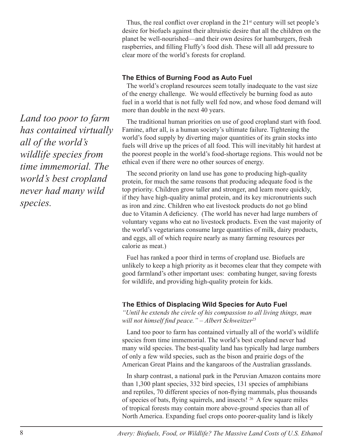Thus, the real conflict over cropland in the  $21<sup>st</sup>$  century will set people's desire for biofuels against their altruistic desire that all the children on the planet be well-nourished—and their own desires for hamburgers, fresh raspberries, and filling Fluffy's food dish. These will all add pressure to clear more of the world's forests for cropland.

#### **The Ethics of Burning Food as Auto Fuel**

The world's cropland resources seem totally inadequate to the vast size of the energy challenge. We would effectively be burning food as auto fuel in a world that is not fully well fed now, and whose food demand will more than double in the next 40 years.

The traditional human priorities on use of good cropland start with food. Famine, after all, is a human society's ultimate failure. Tightening the world's food supply by diverting major quantities of its grain stocks into fuels will drive up the prices of all food. This will inevitably hit hardest at the poorest people in the world's food-shortage regions. This would not be ethical even if there were no other sources of energy.

The second priority on land use has gone to producing high-quality protein, for much the same reasons that producing adequate food is the top priority. Children grow taller and stronger, and learn more quickly, if they have high-quality animal protein, and its key micronutrients such as iron and zinc. Children who eat livestock products do not go blind due to Vitamin A deficiency. (The world has never had large numbers of voluntary vegans who eat no livestock products. Even the vast majority of the world's vegetarians consume large quantities of milk, dairy products, and eggs, all of which require nearly as many farming resources per calorie as meat.)

Fuel has ranked a poor third in terms of cropland use. Biofuels are unlikely to keep a high priority as it becomes clear that they compete with good farmland's other important uses: combating hunger, saving forests for wildlife, and providing high-quality protein for kids.

#### **The Ethics of Displacing Wild Species for Auto Fuel**

*"Until he extends the circle of his compassion to all living things, man*  will not himself find peace." – Albert Schweitzer<sup>25</sup>

Land too poor to farm has contained virtually all of the world's wildlife species from time immemorial. The world's best cropland never had many wild species. The best-quality land has typically had large numbers of only a few wild species, such as the bison and prairie dogs of the American Great Plains and the kangaroos of the Australian grasslands.

In sharp contrast, a national park in the Peruvian Amazon contains more than 1,300 plant species, 332 bird species, 131 species of amphibians and reptiles, 70 different species of non-flying mammals, plus thousands of species of bats, flying squirrels, and insects! <sup>26</sup> A few square miles of tropical forests may contain more above-ground species than all of North America. Expanding fuel crops onto poorer-quality land is likely

*Land too poor to farm has contained virtually all of the world's wildlife species from time immemorial. The world's best cropland never had many wild species.*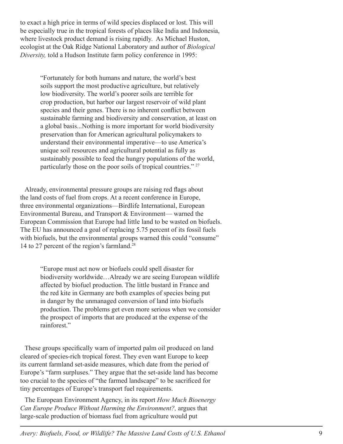to exact a high price in terms of wild species displaced or lost. This will be especially true in the tropical forests of places like India and Indonesia, where livestock product demand is rising rapidly. As Michael Huston, ecologist at the Oak Ridge National Laboratory and author of *Biological Diversity,* told a Hudson Institute farm policy conference in 1995:

"Fortunately for both humans and nature, the world's best soils support the most productive agriculture, but relatively low biodiversity. The world's poorer soils are terrible for crop production, but harbor our largest reservoir of wild plant species and their genes. There is no inherent conflict between sustainable farming and biodiversity and conservation, at least on a global basis...Nothing is more important for world biodiversity preservation than for American agricultural policymakers to understand their environmental imperative—to use America's unique soil resources and agricultural potential as fully as sustainably possible to feed the hungry populations of the world, particularly those on the poor soils of tropical countries." 27

Already, environmental pressure groups are raising red flags about the land costs of fuel from crops. At a recent conference in Europe, three environmental organizations—Birdlife International, European Environmental Bureau, and Transport & Environment— warned the European Commission that Europe had little land to be wasted on biofuels. The EU has announced a goal of replacing 5.75 percent of its fossil fuels with biofuels, but the environmental groups warned this could "consume" 14 to 27 percent of the region's farmland.<sup>28</sup>

"Europe must act now or biofuels could spell disaster for biodiversity worldwide…Already we are seeing European wildlife affected by biofuel production. The little bustard in France and the red kite in Germany are both examples of species being put in danger by the unmanaged conversion of land into biofuels production. The problems get even more serious when we consider the prospect of imports that are produced at the expense of the rainforest."

These groups specifically warn of imported palm oil produced on land cleared of species-rich tropical forest. They even want Europe to keep its current farmland set-aside measures, which date from the period of Europe's "farm surpluses." They argue that the set-aside land has become too crucial to the species of "the farmed landscape" to be sacrificed for tiny percentages of Europe's transport fuel requirements.

The European Environment Agency, in its report *How Much Bioenergy Can Europe Produce Without Harming the Environment?,* argues that large-scale production of biomass fuel from agriculture would put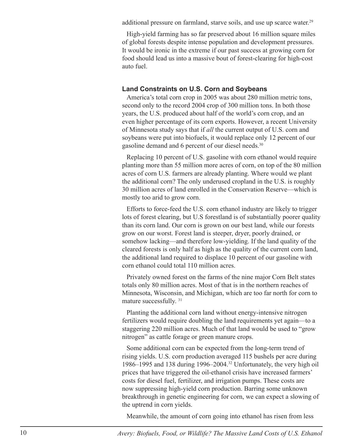additional pressure on farmland, starve soils, and use up scarce water.<sup>29</sup>

High-yield farming has so far preserved about 16 million square miles of global forests despite intense population and development pressures. It would be ironic in the extreme if our past success at growing corn for food should lead us into a massive bout of forest-clearing for high-cost auto fuel.

#### **Land Constraints on U.S. Corn and Soybeans**

America's total corn crop in 2005 was about 280 million metric tons, second only to the record 2004 crop of 300 million tons. In both those years, the U.S. produced about half of the world's corn crop, and an even higher percentage of its corn exports. However, a recent University of Minnesota study says that if *all* the current output of U.S. corn and soybeans were put into biofuels, it would replace only 12 percent of our gasoline demand and 6 percent of our diesel needs.<sup>30</sup>

Replacing 10 percent of U.S. gasoline with corn ethanol would require planting more than 55 million more acres of corn, on top of the 80 million acres of corn U.S. farmers are already planting. Where would we plant the additional corn? The only underused cropland in the U.S. is roughly 30 million acres of land enrolled in the Conservation Reserve—which is mostly too arid to grow corn.

Efforts to force-feed the U.S. corn ethanol industry are likely to trigger lots of forest clearing, but U.S forestland is of substantially poorer quality than its corn land. Our corn is grown on our best land, while our forests grow on our worst. Forest land is steeper, dryer, poorly drained, or somehow lacking—and therefore low-yielding. If the land quality of the cleared forests is only half as high as the quality of the current corn land, the additional land required to displace 10 percent of our gasoline with corn ethanol could total 110 million acres.

Privately owned forest on the farms of the nine major Corn Belt states totals only 80 million acres. Most of that is in the northern reaches of Minnesota, Wisconsin, and Michigan, which are too far north for corn to mature successfully. <sup>31</sup>

Planting the additional corn land without energy-intensive nitrogen fertilizers would require doubling the land requirements yet again—to a staggering 220 million acres. Much of that land would be used to "grow nitrogen" as cattle forage or green manure crops.

Some additional corn can be expected from the long-term trend of rising yields. U.S. corn production averaged 115 bushels per acre during 1986–1995 and 138 during 1996–2004.32 Unfortunately, the very high oil prices that have triggered the oil-ethanol crisis have increased farmers' costs for diesel fuel, fertilizer, and irrigation pumps. These costs are now suppressing high-yield corn production. Barring some unknown breakthrough in genetic engineering for corn, we can expect a slowing of the uptrend in corn yields.

Meanwhile, the amount of corn going into ethanol has risen from less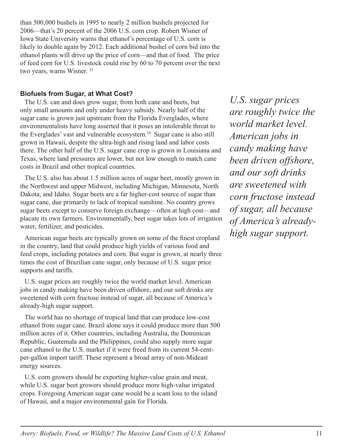than 500,000 bushels in 1995 to nearly 2 million bushels projected for 2006—that's 20 percent of the 2006 U.S. corn crop. Robert Wisner of Iowa State University warns that ethanol's percentage of U.S. corn is likely to double again by 2012. Each additional bushel of corn bid into the ethanol plants will drive up the price of corn—and that of food. The price of feed corn for U.S. livestock could rise by 60 to 70 percent over the next two years, warns Wisner.<sup>33</sup>

#### **Biofuels from Sugar, at What Cost?**

The U.S. can and does grow sugar, from both cane and beets, but only small amounts and only under heavy subsidy. Nearly half of the sugar cane is grown just upstream from the Florida Everglades, where environmentalists have long asserted that it poses an intolerable threat to the Everglades' vast and vulnerable ecosystem.<sup>34</sup> Sugar cane is also still grown in Hawaii, despite the ultra-high and rising land and labor costs there. The other half of the U.S. sugar cane crop is grown in Louisiana and Texas, where land pressures are lower, but not low enough to match cane costs in Brazil and other tropical countries.

The U.S. also has about 1.5 million acres of sugar beet, mostly grown in the Northwest and upper Midwest, including Michigan, Minnesota, North Dakota, and Idaho. Sugar beets are a far higher-cost source of sugar than sugar cane, due primarily to lack of tropical sunshine. No country grows sugar beets except to conserve foreign exchange—often at high cost—and placate its own farmers. Environmentally, beet sugar takes lots of irrigation water, fertilizer, and pesticides.

American sugar beets are typically grown on some of the finest cropland in the country, land that could produce high yields of various food and feed crops, including potatoes and corn. But sugar is grown, at nearly three times the cost of Brazilian cane sugar, only because of U.S. sugar price supports and tariffs.

U.S. sugar prices are roughly twice the world market level. American jobs in candy making have been driven offshore, and our soft drinks are sweetened with corn fructose instead of sugar, all because of America's already-high sugar support.

The world has no shortage of tropical land that can produce low-cost ethanol from sugar cane. Brazil alone says it could produce more than 500 million acres of it. Other countries, including Australia, the Dominican Republic, Guatemala and the Philippines, could also supply more sugar cane ethanol to the U.S. market if it were freed from its current 54-centper-gallon import tariff. These represent a broad array of non-Mideast energy sources.

U.S. corn growers should be exporting higher-value grain and meat, while U.S. sugar beet growers should produce more high-value irrigated crops. Foregoing American sugar cane would be a scant loss to the island of Hawaii, and a major environmental gain for Florida.

*U.S. sugar prices are roughly twice the world market level. American jobs in candy making have been driven offshore, and our soft drinks are sweetened with corn fructose instead of sugar, all because of America's alreadyhigh sugar support.*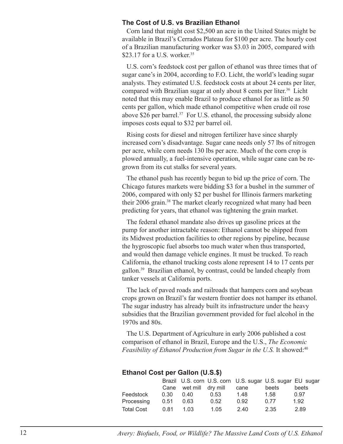#### **The Cost of U.S. vs Brazilian Ethanol**

Corn land that might cost \$2,500 an acre in the United States might be available in Brazil's Cerrados Plateau for \$100 per acre. The hourly cost of a Brazilian manufacturing worker was \$3.03 in 2005, compared with \$23.17 for a U.S. worker.<sup>35</sup>

U.S. corn's feedstock cost per gallon of ethanol was three times that of sugar cane's in 2004, according to F.O. Licht, the world's leading sugar analysts. They estimated U.S. feedstock costs at about 24 cents per liter, compared with Brazilian sugar at only about 8 cents per liter.<sup>36</sup> Licht noted that this may enable Brazil to produce ethanol for as little as 50 cents per gallon, which made ethanol competitive when crude oil rose above \$26 per barrel.<sup>37</sup> For U.S. ethanol, the processing subsidy alone imposes costs equal to \$32 per barrel oil.

Rising costs for diesel and nitrogen fertilizer have since sharply increased corn's disadvantage. Sugar cane needs only 57 lbs of nitrogen per acre, while corn needs 130 lbs per acre. Much of the corn crop is plowed annually, a fuel-intensive operation, while sugar cane can be regrown from its cut stalks for several years.

The ethanol push has recently begun to bid up the price of corn. The Chicago futures markets were bidding \$3 for a bushel in the summer of 2006, compared with only \$2 per bushel for Illinois farmers marketing their 2006 grain.<sup>38</sup> The market clearly recognized what many had been predicting for years, that ethanol was tightening the grain market.

The federal ethanol mandate also drives up gasoline prices at the pump for another intractable reason: Ethanol cannot be shipped from its Midwest production facilities to other regions by pipeline, because the hygroscopic fuel absorbs too much water when thus transported, and would then damage vehicle engines. It must be trucked. To reach California, the ethanol trucking costs alone represent 14 to 17 cents per gallon.39 Brazilian ethanol, by contrast, could be landed cheaply from tanker vessels at California ports.

The lack of paved roads and railroads that hampers corn and soybean crops grown on Brazil's far western frontier does not hamper its ethanol. The sugar industry has already built its infrastructure under the heavy subsidies that the Brazilian government provided for fuel alcohol in the 1970s and 80s.

The U.S. Department of Agriculture in early 2006 published a cost comparison of ethanol in Brazil, Europe and the U.S., *The Economic Feasibility of Ethanol Production from Sugar in the U.S. It showed:*<sup>40</sup>

#### **Ethanol Cost per Gallon (U.S.\$)**

|                   |      |                        |      | Brazil U.S. corn U.S. corn U.S. sugar U.S. sugar EU sugar |       |       |
|-------------------|------|------------------------|------|-----------------------------------------------------------|-------|-------|
|                   |      | Cane wet mill dry mill |      | cane                                                      | beets | beets |
| Feedstock         | 0.30 | 0.40                   | 0.53 | 1.48                                                      | 1.58  | 0.97  |
| Processing        | 0.51 | 0.63                   | 0.52 | 0.92                                                      | 0.77  | 1.92  |
| <b>Total Cost</b> | 0.81 | 1.03                   | 1.05 | 2.40                                                      | 2.35  | 2.89  |

12 *Avery: Biofuels, Food, or Wildlife? The Massive Land Costs of U.S. Ethanol*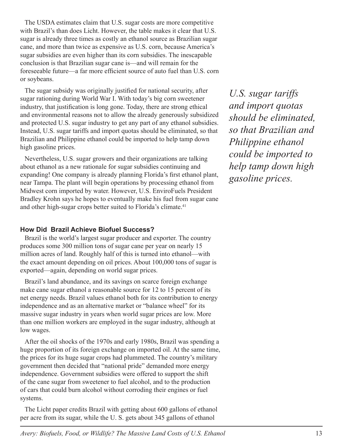The USDA estimates claim that U.S. sugar costs are more competitive with Brazil's than does Licht. However, the table makes it clear that U.S. sugar is already three times as costly an ethanol source as Brazilian sugar cane, and more than twice as expensive as U.S. corn, because America's sugar subsidies are even higher than its corn subsidies. The inescapable conclusion is that Brazilian sugar cane is—and will remain for the foreseeable future—a far more efficient source of auto fuel than U.S. corn or soybeans.

The sugar subsidy was originally justified for national security, after sugar rationing during World War I. With today's big corn sweetener industry, that justification is long gone. Today, there are strong ethical and environmental reasons not to allow the already generously subsidized and protected U.S. sugar industry to get any part of any ethanol subsidies. Instead, U.S. sugar tariffs and import quotas should be eliminated, so that Brazilian and Philippine ethanol could be imported to help tamp down high gasoline prices.

Nevertheless, U.S. sugar growers and their organizations are talking about ethanol as a new rationale for sugar subsidies continuing and expanding! One company is already planning Florida's first ethanol plant, near Tampa. The plant will begin operations by processing ethanol from Midwest corn imported by water. However, U.S. EnviroFuels President Bradley Krohn says he hopes to eventually make his fuel from sugar cane and other high-sugar crops better suited to Florida's climate.<sup>41</sup>

#### **How Did Brazil Achieve Biofuel Success?**

Brazil is the world's largest sugar producer and exporter. The country produces some 300 million tons of sugar cane per year on nearly 15 million acres of land. Roughly half of this is turned into ethanol—with the exact amount depending on oil prices. About 100,000 tons of sugar is exported—again, depending on world sugar prices.

Brazil's land abundance, and its savings on scarce foreign exchange make cane sugar ethanol a reasonable source for 12 to 15 percent of its net energy needs. Brazil values ethanol both for its contribution to energy independence and as an alternative market or "balance wheel" for its massive sugar industry in years when world sugar prices are low. More than one million workers are employed in the sugar industry, although at low wages.

After the oil shocks of the 1970s and early 1980s, Brazil was spending a huge proportion of its foreign exchange on imported oil. At the same time, the prices for its huge sugar crops had plummeted. The country's military government then decided that "national pride" demanded more energy independence. Government subsidies were offered to support the shift of the cane sugar from sweetener to fuel alcohol, and to the production of cars that could burn alcohol without corroding their engines or fuel systems.

The Licht paper credits Brazil with getting about 600 gallons of ethanol per acre from its sugar, while the U. S. gets about 345 gallons of ethanol

*U.S. sugar tariffs and import quotas should be eliminated, so that Brazilian and Philippine ethanol could be imported to help tamp down high gasoline prices.*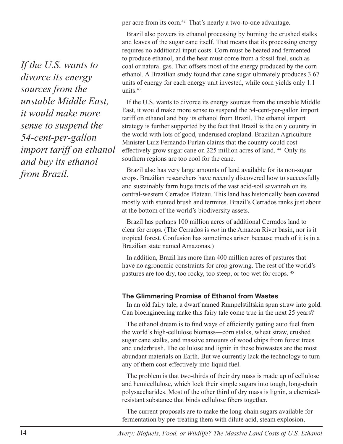per acre from its corn.<sup>42</sup> That's nearly a two-to-one advantage.

Brazil also powers its ethanol processing by burning the crushed stalks and leaves of the sugar cane itself. That means that its processing energy requires no additional input costs. Corn must be heated and fermented to produce ethanol, and the heat must come from a fossil fuel, such as coal or natural gas. That offsets most of the energy produced by the corn ethanol. A Brazilian study found that cane sugar ultimately produces 3.67 units of energy for each energy unit invested, while corn yields only 1.1 units. $43$ 

If the U.S. wants to divorce its energy sources from the unstable Middle East, it would make more sense to suspend the 54-cent-per-gallon import tariff on ethanol and buy its ethanol from Brazil. The ethanol import strategy is further supported by the fact that Brazil is the only country in the world with lots of good, underused cropland. Brazilian Agriculture Minister Luiz Fernando Furlan claims that the country could costeffectively grow sugar cane on 225 million acres of land.<sup>44</sup> Only its southern regions are too cool for the cane.

Brazil also has very large amounts of land available for its non-sugar crops. Brazilian researchers have recently discovered how to successfully and sustainably farm huge tracts of the vast acid-soil savannah on its central-western Cerrados Plateau. This land has historically been covered mostly with stunted brush and termites. Brazil's Cerrados ranks just about at the bottom of the world's biodiversity assets.

Brazil has perhaps 100 million acres of additional Cerrados land to clear for crops. (The Cerrados is *not* in the Amazon River basin, nor is it tropical forest. Confusion has sometimes arisen because much of it is in a Brazilian state named Amazonas.)

In addition, Brazil has more than 400 million acres of pastures that have no agronomic constraints for crop growing. The rest of the world's pastures are too dry, too rocky, too steep, or too wet for crops. 45

#### **The Glimmering Promise of Ethanol from Wastes**

In an old fairy tale, a dwarf named Rumpelstiltskin spun straw into gold. Can bioengineering make this fairy tale come true in the next 25 years?

The ethanol dream is to find ways of efficiently getting auto fuel from the world's high-cellulose biomass—corn stalks, wheat straw, crushed sugar cane stalks, and massive amounts of wood chips from forest trees and underbrush. The cellulose and lignin in these biowastes are the most abundant materials on Earth. But we currently lack the technology to turn any of them cost-effectively into liquid fuel.

The problem is that two-thirds of their dry mass is made up of cellulose and hemicellulose, which lock their simple sugars into tough, long-chain polysaccharides. Most of the other third of dry mass is lignin, a chemicalresistant substance that binds cellulose fibers together.

The current proposals are to make the long-chain sugars available for fermentation by pre-treating them with dilute acid, steam explosion,

*If the U.S. wants to divorce its energy sources from the unstable Middle East, it would make more sense to suspend the 54-cent-per-gallon import tariff on ethanol and buy its ethanol from Brazil.*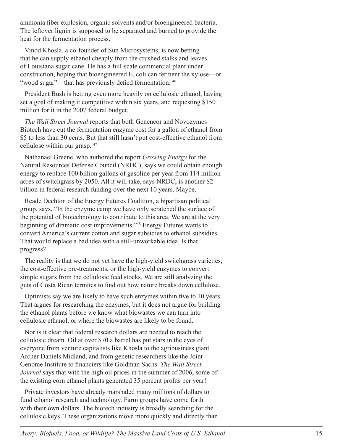ammonia fiber explosion, organic solvents and/or bioengineered bacteria. The leftover lignin is supposed to be separated and burned to provide the heat for the fermentation process.

Vinod Khosla, a co-founder of Sun Microsystems, is now betting that he can supply ethanol cheaply from the crushed stalks and leaves of Louisiana sugar cane. He has a full-scale commercial plant under construction, hoping that bioengineered E. coli can ferment the xylose—or "wood sugar"—that has previously defied fermentation. 46

President Bush is betting even more heavily on cellulosic ethanol, having set a goal of making it competitive within six years, and requesting \$150 million for it in the 2007 federal budget.

*The Wall Street Journal* reports that both Genencor and Novozymes Biotech have cut the fermentation enzyme cost for a gallon of ethanol from \$5 to less than 30 cents. But that still hasn't put cost-effective ethanol from cellulose within our grasp. 47

Nathanael Greene, who authored the report *Growing Energy* for the Natural Resources Defense Council (NRDC), says we could obtain enough energy to replace 100 billion gallons of gasoline per year from 114 million acres of switchgrass by 2050. All it will take, says NRDC, is another \$2 billion in federal research funding over the next 10 years. Maybe.

Reade Dechton of the Energy Futures Coalition, a bipartisan political group, says, "In the enzyme camp we have only scratched the surface of the potential of biotechnology to contribute to this area. We are at the very beginning of dramatic cost improvements."48 Energy Futures wants to convert America's current cotton and sugar subsidies to ethanol subsidies. That would replace a bad idea with a still-unworkable idea. Is that progress?

The reality is that we do not yet have the high-yield switchgrass varieties, the cost-effective pre-treatments, or the high-yield enzymes to convert simple sugars from the cellulosic feed stocks. We are still analyzing the guts of Costa Rican termites to find out how nature breaks down cellulose.

Optimists say we are likely to have such enzymes within five to 10 years. That argues for researching the enzymes, but it does not argue for building the ethanol plants before we know what biowastes we can turn into cellulosic ethanol, or where the biowastes are likely to be found.

Nor is it clear that federal research dollars are needed to reach the cellulosic dream. Oil at over \$70 a barrel has put stars in the eyes of everyone from venture capitalists like Khosla to the agribusiness giant Archer Daniels Midland, and from genetic researchers like the Joint Genome Institute to financiers like Goldman Sachs. *The Wall Street Journal* says that with the high oil prices in the summer of 2006, some of the existing corn ethanol plants generated 35 percent profits per year!

Private investors have already marshaled many millions of dollars to fund ethanol research and technology. Farm groups have come forth with their own dollars. The biotech industry is broadly searching for the cellulosic keys. These organizations move more quickly and directly than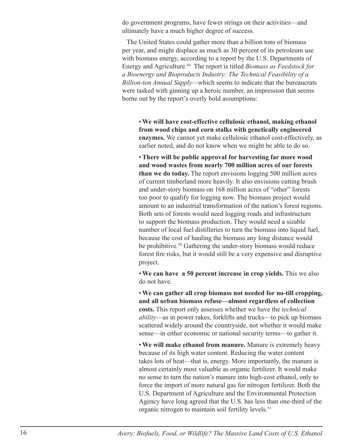do government programs, have fewer strings on their activities—and ultimately have a much higher degree of success.

The United States could gather more than a billion tons of biomass per year, and might displace as much as 30 percent of its petroleum use with biomass energy, according to a report by the U.S. Departments of Energy and Agriculture.49 The report is titled *Biomass as Feedstock for a Bioenergy and Bioproducts Industry: The Technical Feasibility of a Billion-ton Annual Supply—*which seems to indicate that the bureaucrats were tasked with ginning up a heroic number, an impression that seems borne out by the report's overly bold assumptions:

• **We will have cost-effective cellulosic ethanol, making ethanol from wood chips and corn stalks with genetically engineered enzymes.** We cannot yet make cellulosic ethanol cost-effectively, as earlier noted, and do not know when we might be able to do so.

• **There will be public approval for harvesting far more wood and wood wastes from nearly 700 million acres of our forests than we do today.** The report envisions logging 500 million acres of current timberland more heavily. It also envisions cutting brush and under-story biomass on 168 million acres of "other" forests too poor to qualify for logging now. The biomass project would amount to an industrial transformation of the nation's forest regions. Both sets of forests would need logging roads and infrastructure to support the biomass production. They would need a sizable number of local fuel distilleries to turn the biomass into liquid fuel, because the cost of hauling the biomass any long distance would be prohibitive.<sup>50</sup> Gathering the under-story biomass would reduce forest fire risks, but it would still be a very expensive and disruptive project.

• **We can have a 50 percent increase in crop yields.** This we also do not have.

• **We can gather all crop biomass not needed for no-till cropping, and all urban biomass refuse—almost regardless of collection costs.** This report only assesses whether we have the *technical ability*—as in power rakes, forklifts and trucks—to pick up biomass scattered widely around the countryside, not whether it would make sense—in either economic or national security terms—to gather it.

• **We will make ethanol from manure.** Manure is extremely heavy because of its high water content. Reducing the water content takes lots of heat—that is, energy. More importantly, the manure is almost certainly most valuable as organic fertilizer. It would make no sense to turn the nation's manure into high-cost ethanol, only to force the import of more natural gas for nitrogen fertilizer. Both the U.S. Department of Agriculture and the Environmental Protection Agency have long agreed that the U.S. has less than one-third of the organic nitrogen to maintain soil fertility levels.<sup>51</sup>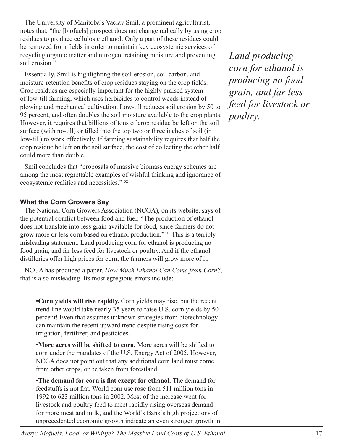The University of Manitoba's Vaclav Smil, a prominent agriculturist, notes that, "the [biofuels] prospect does not change radically by using crop residues to produce cellulosic ethanol: Only a part of these residues could be removed from fields in order to maintain key ecosystemic services of recycling organic matter and nitrogen, retaining moisture and preventing soil erosion."

Essentially, Smil is highlighting the soil-erosion, soil carbon, and moisture-retention benefits of crop residues staying on the crop fields. Crop residues are especially important for the highly praised system of low-till farming, which uses herbicides to control weeds instead of plowing and mechanical cultivation. Low-till reduces soil erosion by 50 to 95 percent, and often doubles the soil moisture available to the crop plants. However, it requires that billions of tons of crop residue be left on the soil surface (with no-till) or tilled into the top two or three inches of soil (in low-till) to work effectively. If farming sustainability requires that half the crop residue be left on the soil surface, the cost of collecting the other half could more than double.

Smil concludes that "proposals of massive biomass energy schemes are among the most regrettable examples of wishful thinking and ignorance of ecosystemic realities and necessities." 52

#### **What the Corn Growers Say**

The National Corn Growers Association (NCGA), on its website, says of the potential conflict between food and fuel: "The production of ethanol does not translate into less grain available for food, since farmers do not grow more or less corn based on ethanol production."53 This is a terribly misleading statement. Land producing corn for ethanol is producing no food grain, and far less feed for livestock or poultry. And if the ethanol distilleries offer high prices for corn, the farmers will grow more of it.

NCGA has produced a paper, *How Much Ethanol Can Come from Corn?*, that is also misleading. Its most egregious errors include:

•**Corn yields will rise rapidly.** Corn yields may rise, but the recent trend line would take nearly 35 years to raise U.S. corn yields by 50 percent! Even that assumes unknown strategies from biotechnology can maintain the recent upward trend despite rising costs for irrigation, fertilizer, and pesticides.

•**More acres will be shifted to corn.** More acres will be shifted to corn under the mandates of the U.S. Energy Act of 2005. However, NCGA does not point out that any additional corn land must come from other crops, or be taken from forestland.

•**The demand for corn is flat except for ethanol.** The demand for feedstuffs is not flat. World corn use rose from 511 million tons in 1992 to 623 million tons in 2002. Most of the increase went for livestock and poultry feed to meet rapidly rising overseas demand for more meat and milk, and the World's Bank's high projections of unprecedented economic growth indicate an even stronger growth in

*Land producing corn for ethanol is producing no food grain, and far less feed for livestock or poultry.*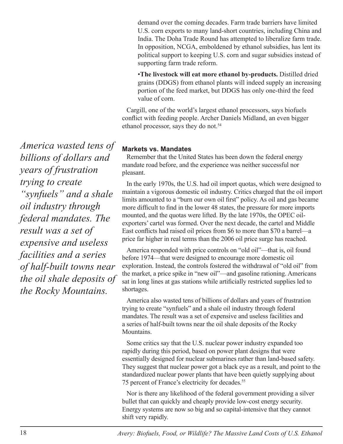demand over the coming decades. Farm trade barriers have limited U.S. corn exports to many land-short countries, including China and India. The Doha Trade Round has attempted to liberalize farm trade. In opposition, NCGA, emboldened by ethanol subsidies, has lent its political support to keeping U.S. corn and sugar subsidies instead of supporting farm trade reform.

•**The livestock will eat more ethanol by-products.** Distilled dried grains (DDGS) from ethanol plants will indeed supply an increasing portion of the feed market, but DDGS has only one-third the feed value of corn.

Cargill, one of the world's largest ethanol processors, says biofuels conflict with feeding people. Archer Daniels Midland, an even bigger ethanol processor, says they do not.<sup>54</sup>

#### **Markets vs. Mandates**

Remember that the United States has been down the federal energy mandate road before, and the experience was neither successful nor pleasant.

In the early 1970s, the U.S. had oil import quotas, which were designed to maintain a vigorous domestic oil industry. Critics charged that the oil import limits amounted to a "burn our own oil first" policy. As oil and gas became more difficult to find in the lower 48 states, the pressure for more imports mounted, and the quotas were lifted. By the late 1970s, the OPEC oilexporters' cartel was formed. Over the next decade, the cartel and Middle East conflicts had raised oil prices from \$6 to more than \$70 a barrel—a price far higher in real terms than the 2006 oil price surge has reached.

America responded with price controls on "old oil"—that is, oil found before 1974—that were designed to encourage more domestic oil exploration. Instead, the controls fostered the withdrawal of "old oil" from the market, a price spike in "new oil"—and gasoline rationing. Americans sat in long lines at gas stations while artificially restricted supplies led to shortages.

America also wasted tens of billions of dollars and years of frustration trying to create "synfuels" and a shale oil industry through federal mandates. The result was a set of expensive and useless facilities and a series of half-built towns near the oil shale deposits of the Rocky Mountains.

Some critics say that the U.S. nuclear power industry expanded too rapidly during this period, based on power plant designs that were essentially designed for nuclear submarines rather than land-based safety. They suggest that nuclear power got a black eye as a result, and point to the standardized nuclear power plants that have been quietly supplying about 75 percent of France's electricity for decades.55

Nor is there any likelihood of the federal government providing a silver bullet that can quickly and cheaply provide low-cost energy security. Energy systems are now so big and so capital-intensive that they cannot shift very rapidly.

*America wasted tens of billions of dollars and years of frustration trying to create "synfuels" and a shale oil industry through federal mandates. The result was a set of expensive and useless facilities and a series of half-built towns near the oil shale deposits of the Rocky Mountains.*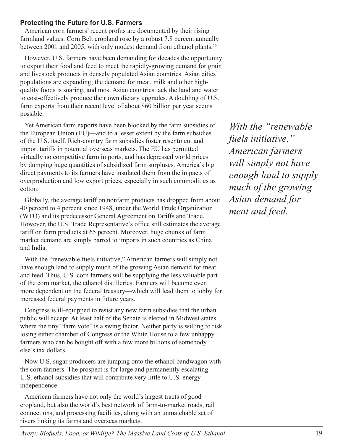#### **Protecting the Future for U.S. Farmers**

American corn farmers' recent profits are documented by their rising farmland values. Corn Belt cropland rose by a robust 7.8 percent annually between 2001 and 2005, with only modest demand from ethanol plants.<sup>56</sup>

However, U.S. farmers have been demanding for decades the opportunity to export their food and feed to meet the rapidly-growing demand for grain and livestock products in densely populated Asian countries. Asian cities' populations are expanding; the demand for meat, milk and other highquality foods is soaring; and most Asian countries lack the land and water to cost-effectively produce their own dietary upgrades. A doubling of U.S. farm exports from their recent level of about \$60 billion per year seems possible.

Yet American farm exports have been blocked by the farm subsidies of the European Union (EU)—and to a lesser extent by the farm subsidies of the U.S. itself. Rich-country farm subsidies foster resentment and import tariffs in potential overseas markets. The EU has permitted virtually no competitive farm imports, and has depressed world prices by dumping huge quantities of subsidized farm surpluses. America's big direct payments to its farmers have insulated them from the impacts of overproduction and low export prices, especially in such commodities as cotton.

Globally, the average tariff on nonfarm products has dropped from about 40 percent to 4 percent since 1948, under the World Trade Organization (WTO) and its predecessor General Agreement on Tariffs and Trade. However, the U.S. Trade Representative's office still estimates the average tariff on farm products at 65 percent. Moreover, huge chunks of farm market demand are simply barred to imports in such countries as China and India.

With the "renewable fuels initiative," American farmers will simply not have enough land to supply much of the growing Asian demand for meat and feed. Thus, U.S. corn farmers will be supplying the less valuable part of the corn market, the ethanol distilleries. Farmers will become even more dependent on the federal treasury—which will lead them to lobby for increased federal payments in future years.

Congress is ill-equipped to resist any new farm subsidies that the urban public will accept. At least half of the Senate is elected in Midwest states where the tiny "farm vote" is a swing factor. Neither party is willing to risk losing either chamber of Congress or the White House to a few unhappy farmers who can be bought off with a few more billions of somebody else's tax dollars.

Now U.S. sugar producers are jumping onto the ethanol bandwagon with the corn farmers. The prospect is for large and permanently escalating U.S. ethanol subsidies that will contribute very little to U.S. energy independence.

American farmers have not only the world's largest tracts of good cropland, but also the world's best network of farm-to-market roads, rail connections, and processing facilities, along with an unmatchable set of rivers linking its farms and overseas markets.

*With the "renewable fuels initiative," American farmers will simply not have enough land to supply much of the growing Asian demand for meat and feed.*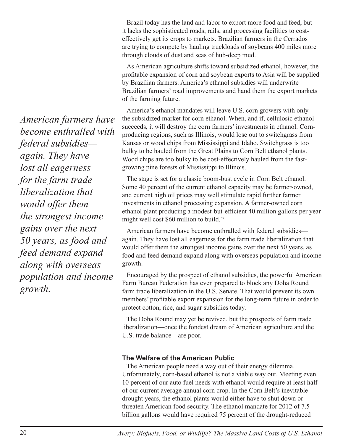Brazil today has the land and labor to export more food and feed, but it lacks the sophisticated roads, rails, and processing facilities to costeffectively get its crops to markets. Brazilian farmers in the Cerrados are trying to compete by hauling truckloads of soybeans 400 miles more through clouds of dust and seas of hub-deep mud.

As American agriculture shifts toward subsidized ethanol, however, the profitable expansion of corn and soybean exports to Asia will be supplied by Brazilian farmers. America's ethanol subsidies will underwrite Brazilian farmers' road improvements and hand them the export markets of the farming future.

America's ethanol mandates will leave U.S. corn growers with only the subsidized market for corn ethanol. When, and if, cellulosic ethanol succeeds, it will destroy the corn farmers' investments in ethanol. Cornproducing regions, such as Illinois, would lose out to switchgrass from Kansas or wood chips from Mississippi and Idaho. Switchgrass is too bulky to be hauled from the Great Plains to Corn Belt ethanol plants. Wood chips are too bulky to be cost-effectively hauled from the fastgrowing pine forests of Mississippi to Illinois.

The stage is set for a classic boom-bust cycle in Corn Belt ethanol. Some 40 percent of the current ethanol capacity may be farmer-owned, and current high oil prices may well stimulate rapid further farmer investments in ethanol processing expansion. A farmer-owned corn ethanol plant producing a modest-but-efficient 40 million gallons per year might well cost \$60 million to build.<sup>57</sup>

American farmers have become enthralled with federal subsidies again. They have lost all eagerness for the farm trade liberalization that would offer them the strongest income gains over the next 50 years, as food and feed demand expand along with overseas population and income growth.

Encouraged by the prospect of ethanol subsidies, the powerful American Farm Bureau Federation has even prepared to block any Doha Round farm trade liberalization in the U.S. Senate. That would prevent its own members' profitable export expansion for the long-term future in order to protect cotton, rice, and sugar subsidies today.

The Doha Round may yet be revived, but the prospects of farm trade liberalization—once the fondest dream of American agriculture and the U.S. trade balance—are poor.

#### **The Welfare of the American Public**

The American people need a way out of their energy dilemma. Unfortunately, corn-based ethanol is not a viable way out. Meeting even 10 percent of our auto fuel needs with ethanol would require at least half of our current average annual corn crop. In the Corn Belt's inevitable drought years, the ethanol plants would either have to shut down or threaten American food security. The ethanol mandate for 2012 of 7.5 billion gallons would have required 75 percent of the drought-reduced

*American farmers have become enthralled with federal subsidies again. They have lost all eagerness for the farm trade liberalization that would offer them the strongest income gains over the next 50 years, as food and feed demand expand along with overseas population and income growth.*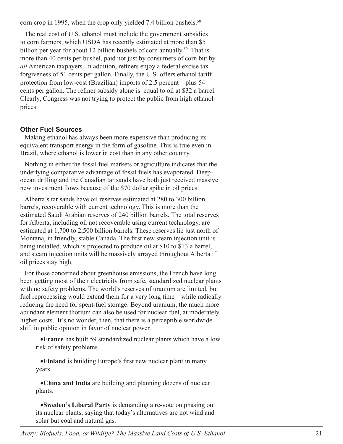corn crop in 1995, when the crop only yielded 7.4 billion bushels.<sup>58</sup>

The real cost of U.S. ethanol must include the government subsidies to corn farmers, which USDA has recently estimated at more than \$5 billion per year for about 12 billion bushels of corn annually.<sup>59</sup> That is more than 40 cents per bushel, paid not just by consumers of corn but by *all* American taxpayers. In addition, refiners enjoy a federal excise tax forgiveness of 51 cents per gallon. Finally, the U.S. offers ethanol tariff protection from low-cost (Brazilian) imports of 2.5 percent—plus 54 cents per gallon. The refiner subsidy alone is equal to oil at \$32 a barrel. Clearly, Congress was not trying to protect the public from high ethanol prices.

#### **Other Fuel Sources**

Making ethanol has always been more expensive than producing its equivalent transport energy in the form of gasoline. This is true even in Brazil, where ethanol is lower in cost than in any other country.

Nothing in either the fossil fuel markets or agriculture indicates that the underlying comparative advantage of fossil fuels has evaporated. Deepocean drilling and the Canadian tar sands have both just received massive new investment flows because of the \$70 dollar spike in oil prices.

Alberta's tar sands have oil reserves estimated at 280 to 300 billion barrels, recoverable with current technology. This is more than the estimated Saudi Arabian reserves of 240 billion barrels. The total reserves for Alberta, including oil not recoverable using current technology, are estimated at 1,700 to 2,500 billion barrels. These reserves lie just north of Montana, in friendly, stable Canada. The first new steam injection unit is being installed, which is projected to produce oil at \$10 to \$13 a barrel, and steam injection units will be massively arrayed throughout Alberta if oil prices stay high.

For those concerned about greenhouse emissions, the French have long been getting most of their electricity from safe, standardized nuclear plants with no safety problems. The world's reserves of uranium are limited, but fuel reprocessing would extend them for a very long time—while radically reducing the need for spent-fuel storage. Beyond uranium, the much more abundant element thorium can also be used for nuclear fuel, at moderately higher costs. It's no wonder, then, that there is a perceptible worldwide shift in public opinion in favor of nuclear power.

•**France** has built 59 standardized nuclear plants which have a low risk of safety problems.

•**Finland** is building Europe's first new nuclear plant in many years.

•**China and India** are building and planning dozens of nuclear plants.

•**Sweden's Liberal Party** is demanding a re-vote on phasing out its nuclear plants, saying that today's alternatives are not wind and solar but coal and natural gas.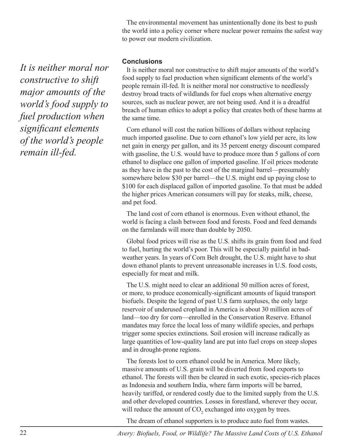The environmental movement has unintentionally done its best to push the world into a policy corner where nuclear power remains the safest way to power our modern civilization.

#### **Conclusions**

It is neither moral nor constructive to shift major amounts of the world's food supply to fuel production when significant elements of the world's people remain ill-fed. It is neither moral nor constructive to needlessly destroy broad tracts of wildlands for fuel crops when alternative energy sources, such as nuclear power, are not being used. And it is a dreadful breach of human ethics to adopt a policy that creates both of these harms at the same time.

Corn ethanol will cost the nation billions of dollars without replacing much imported gasoline. Due to corn ethanol's low yield per acre, its low net gain in energy per gallon, and its 35 percent energy discount compared with gasoline, the U.S. would have to produce more than 5 gallons of corn ethanol to displace one gallon of imported gasoline. If oil prices moderate as they have in the past to the cost of the marginal barrel—presumably somewhere below \$30 per barrel—the U.S. might end up paying close to \$100 for each displaced gallon of imported gasoline. To that must be added the higher prices American consumers will pay for steaks, milk, cheese, and pet food.

The land cost of corn ethanol is enormous. Even without ethanol, the world is facing a clash between food and forests. Food and feed demands on the farmlands will more than double by 2050.

Global food prices will rise as the U.S. shifts its grain from food and feed to fuel, hurting the world's poor. This will be especially painful in badweather years. In years of Corn Belt drought, the U.S. might have to shut down ethanol plants to prevent unreasonable increases in U.S. food costs, especially for meat and milk.

The U.S. might need to clear an additional 50 million acres of forest, or more, to produce economically-significant amounts of liquid transport biofuels. Despite the legend of past U.S farm surpluses, the only large reservoir of underused cropland in America is about 30 million acres of land—too dry for corn—enrolled in the Conservation Reserve. Ethanol mandates may force the local loss of many wildlife species, and perhaps trigger some species extinctions. Soil erosion will increase radically as large quantities of low-quality land are put into fuel crops on steep slopes and in drought-prone regions.

The forests lost to corn ethanol could be in America. More likely, massive amounts of U.S. grain will be diverted from food exports to ethanol. The forests will then be cleared in such exotic, species-rich places as Indonesia and southern India, where farm imports will be barred, heavily tariffed, or rendered costly due to the limited supply from the U.S. and other developed countries. Losses in forestland, wherever they occur, will reduce the amount of  $CO_2$  exchanged into oxygen by trees.

The dream of ethanol supporters is to produce auto fuel from wastes.

22 *Avery: Biofuels, Food, or Wildlife? The Massive Land Costs of U.S. Ethanol*

*It is neither moral nor constructive to shift major amounts of the world's food supply to fuel production when significant elements of the world's people remain ill-fed.*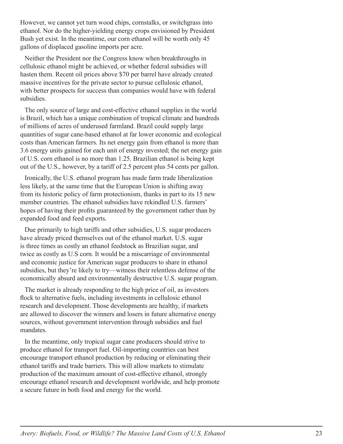However, we cannot yet turn wood chips, cornstalks, or switchgrass into ethanol. Nor do the higher-yielding energy crops envisioned by President Bush yet exist. In the meantime, our corn ethanol will be worth only 45 gallons of displaced gasoline imports per acre.

Neither the President nor the Congress know when breakthroughs in cellulosic ethanol might be achieved, or whether federal subsidies will hasten them. Recent oil prices above \$70 per barrel have already created massive incentives for the private sector to pursue cellulosic ethanol, with better prospects for success than companies would have with federal subsidies.

The only source of large and cost-effective ethanol supplies in the world is Brazil, which has a unique combination of tropical climate and hundreds of millions of acres of underused farmland. Brazil could supply large quantities of sugar cane-based ethanol at far lower economic and ecological costs than American farmers. Its net energy gain from ethanol is more than 3.6 energy units gained for each unit of energy invested; the net energy gain of U.S. corn ethanol is no more than 1.25. Brazilian ethanol is being kept out of the U.S., however, by a tariff of 2.5 percent plus 54 cents per gallon.

Ironically, the U.S. ethanol program has made farm trade liberalization less likely, at the same time that the European Union is shifting away from its historic policy of farm protectionism, thanks in part to its 15 new member countries. The ethanol subsidies have rekindled U.S. farmers' hopes of having their profits guaranteed by the government rather than by expanded food and feed exports.

Due primarily to high tariffs and other subsidies, U.S. sugar producers have already priced themselves out of the ethanol market. U.S. sugar is three times as costly an ethanol feedstock as Brazilian sugar, and twice as costly as U.S corn. It would be a miscarriage of environmental and economic justice for American sugar producers to share in ethanol subsidies, but they're likely to try—witness their relentless defense of the economically absurd and environmentally destructive U.S. sugar program.

The market is already responding to the high price of oil, as investors flock to alternative fuels, including investments in cellulosic ethanol research and development. Those developments are healthy, if markets are allowed to discover the winners and losers in future alternative energy sources, without government intervention through subsidies and fuel mandates.

In the meantime, only tropical sugar cane producers should strive to produce ethanol for transport fuel. Oil-importing countries can best encourage transport ethanol production by reducing or eliminating their ethanol tariffs and trade barriers. This will allow markets to stimulate production of the maximum amount of cost-effective ethanol, strongly encourage ethanol research and development worldwide, and help promote a secure future in both food and energy for the world.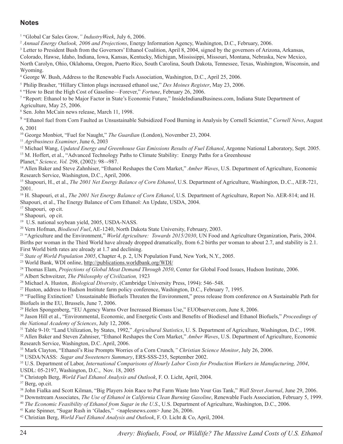#### **Notes**

1 "Global Car Sales Grow*," IndustryWeek*, July 6, 2006.

<sup>2</sup> *Annual Energy Outlook, 2006 and Projections*, Energy Information Agency, Washington, D.C., February, 2006.

<sup>3</sup> Letter to President Bush from the Governors' Ethanol Coalition, April 8, 2004, signed by the governors of Arizona, Arkansas,

Colorado, Hawse, Idaho, Indiana, Iowa, Kansas, Kentucky, Michigan, Mississippi, Missouri, Montana, Nebraska, New Mexico,

North Carolyn, Ohio, Oklahoma, Oregon, Puerto Rico, South Carolina, South Dakota, Tennessee, Texas, Washington, Wisconsin, and Wyoming.

4 George W. Bush, Address to the Renewable Fuels Association, Washington, D.C., April 25, 2006.

<sup>5</sup> Philip Brasher, "Hillary Clinton plugs increased ethanol use," *Des Moines Register*, May 23, 2006.

<sup>6</sup> "How to Beat the High Cost of Gasoline—Forever," *Fortune*, February 26, 2006.

<sup>7</sup> "Report: Ethanol to be Major Factor in State's Economic Future," InsideIndianaBusiness.com, Indiana State Department of Agriculture, May 25, 2006.

8 Sen. John McCain news release, March 11, 1998.

<sup>9</sup> "Ethanol fuel from Corn Faulted as Unsustainable Subsidized Food Burning in Analysis by Cornell Scientist," *Cornell News*, August 6, 2001

<sup>10</sup> George Monbiot, "Fuel for Naught," *The Guardian* (London), November 23, 2004.<br><sup>11</sup> *Agribusiness Examiner*, June 6, 2003

<sup>12</sup> Michael Wang, *Updated Energy and Greenhouse Gas Emissions Results of Fuel Ethanol*, Argonne National Laboratory, Sept. 2005.

13 M. Hoffert, et al., "Advanced Technology Paths to Climate Stability: Energy Paths for a Greenhouse

Planet," *Science, Vol.* 298, (2002): 98–-987. 14 Allen Baker and Steve Zahnhiser, "Ethanol Reshapes the Corn Market," *Amber Waves*, U.S. Department of Agriculture, Economic Research Service, Washington, D.C., April, 2006.

15 Shapouri, H., et al., *The 2001 Net Energy Balance of Corn Ethanol*, U.S. Department of Agriculture, Washington, D..C., AER-721, 2001.

16 H. Shapouri, et al., *The 2001 Net Energy Balance of Corn Ethanol*, U.S. Department of Agriculture, Report No. AER-814; and H. Shapouri, et al., The Energy Balance of Corn Ethanol: An Update, USDA, 2004.

17 Shapouri, op cit.

<sup>18</sup> Shapouri, op cit.

19 U.S. national soybean yield, 2005, USDA-NASS.

20 Vern Hofman, *Biodiesel Fuel*, AE-1240, North Dakota State University, February, 2003.

21 "Agriculture and the Environment," *World Agriculture: Towards 2015/2030*, UN Food and Agriculture Organization, Paris, 2004. Births per woman in the Third World have already dropped dramatically, from 6.2 births per woman to about 2.7, and stability is 2.1. First World birth rates are already at 1.7 and declining.

<sup>22</sup> *State of World Population 2005*, Chapter 4, p. 2, UN Population Fund, New York, N.Y., 2005.

23 World Bank, WDI online, http://publications.worldbank.org/WDI/

24 Thomas Elam, *Projections of Global Meat Demand Through 2050*, Center for Global Food Issues, Hudson Institute, 2006.

25 Albert Schweitzer, *The Philosophy of Civilization,* 1923

<sup>26</sup> Michael A. Huston, *Biological Diversity*, (Cambridge University Press, 1994): 546–548.<br><sup>27</sup> Huston, address to Hudson Institute farm policy conference, Washington, D.C., February 7, 1995.

<sup>28</sup> "Fuelling Extinction? Unsustainable Biofuels Threaten the Environment," press release from conference on A Sustainable Path for Biofuels in the EU, Brussels, June 7, 2006.

29 Helen Spongenberg, "EU Agency Warns Over Increased Biomass Use," EUObserver.com, June 8, 2006.

30 Jason Hill et al., "Environmental, Economic, and Energetic Costs and Benefits of Biodiesel and Ethanol Biofuels," *Proceedings of* 

<sup>31</sup> Table 9-10: "Land Utilization, by States, 1992," *Agricultural Statistics*, U. S. Department of Agriculture, Washington, D.C., 1998.

32 Allen Baker and Steven Zahniser, "Ethanol Reshapes the Corn Market," *Amber Waves*, U.S. Department of Agriculture, Economic Research Service, Washington, D.C. April, 2006.

33 Mark Clayton, "Ethanol's Rise Prompts Worries of a Corn Crunch*," Christian Science Monitor*, July 26, 2006.

34 USDA/NASS: *Sugar and Sweeteners Summary*, ERS-SSS-235, September 2002.

35 U.S. Department of Labor, *International Comparisons of Hourly Labor Costs for Production Workers in Manufacturing, 2004*, USDL: 05-2197, Washington, D.C., Nov. 18, 2005

36 Christoph Berg, *World Fuel Ethanol Analysis and Outlook*, F. O. Licht, April, 2004.

37 Berg, op.cit.

38 John Fialka and Scott Kilman, "Big Players Join Race to Put Farm Waste Into Your Gas Tank," *Wall Street Journal*, June 29, 2006.

39 Downstream Associates, *The Use of Ethanol in California Clean Burning Gasoline*, Renewable Fuels Association, February 5, 1999.

<sup>40</sup> *The Economic Feasibility of Ethanol from Sugar in the U.S.*, U.S. Department of Agriculture, Washington, D.C., 2006.<br><sup>41</sup> Kate Spinner, "Sugar Rush in 'Glades," <naplesnews.com> June 26, 2006.

42 Christian Berg, *World Fuel Ethanol Analysis and Outlook*, F. O. Licht & Co, April, 2004.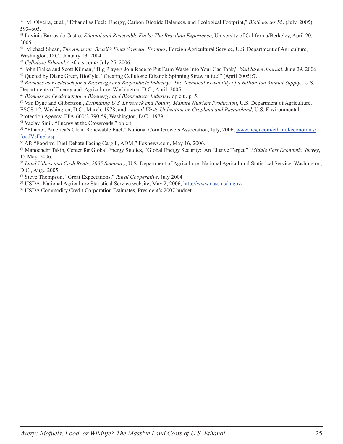38 M. Olveira, et al., "Ethanol as Fuel: Energy, Carbon Dioxide Balances, and Ecological Footprint," *BioSciences* 55, (July, 2005): 593–605.

43 Lavinia Barros de Castro, *Ethanol and Renewable Fuels: The Brazilian Experience*, University of California/Berkeley, April 20, 2005.

44 Michael Shean, *The Amazon: Brazil's Final Soybean Frontier*, Foreign Agricultural Service, U.S. Department of Agriculture, Washington, D.C., January 13, 2004.

<sup>45</sup> *Cellulose Ethanol*,< zfacts.com> July 25, 2006.

46 John Fialka and Scott Kilman, "Big Players Join Race to Put Farm Waste Into Your Gas Tank," *Wall Street Journal*, June 29, 2006. 47 Quoted by Diane Greer, BioCyle, "Creating Cellulosic Ethanol: Spinning Straw in fuel" (April 2005):7.

<sup>48</sup> *Biomass as Feedstock for a Bioenergy and Bioproducts Industry: The Technical Feasibility of a Billion-ton Annual Supply*, U.S. Departments of Energy and Agriculture, Washington, D.C., April, 2005.

<sup>49</sup> *Biomass as Feedstock for a Bioenergy and Bioproducts Industry*, op cit., p. 5.

50 Van Dyne and Gilbertson , *Estimating U.S. Livestock and Poultry Manure Nutrient Production*, U.S. Department of Agriculture, ESCS-12, Washington, D.C., March, 1978; and *Animal Waste Utilization on Cropland and Pastureland,* U.S. Environmental Protection Agency, EPA-600/2-790-59, Washington, D.C., 1979.

51 Vaclav Smil, "Energy at the Crossroads," op cit.

<sup>52</sup> "Ethanol, America's Clean Renewable Fuel," National Corn Growers Association, July, 2006, www.ncga.com/ethanol/economics/ foodVsFuel.asp.

53 AP, "Food vs. Fuel Debate Facing Cargill, ADM," Foxnews.com**,** May 16, 2006.

54 Manochehr Takin, Center for Global Energy Studies, "Global Energy Security: An Elusive Target," *Middle East Economic Survey*, 15 May, 2006.

<sup>55</sup> *Land Values and Cash Rents, 2005 Summary*, U.S. Department of Agriculture, National Agricultural Statistical Service, Washington, D.C., Aug., 2005.

56 Steve Thompson, "Great Expectations," *Rural Cooperative*, July 2004

57 USDA, National Agriculture Statistical Service website, May 2, 2006, http://www.nass.usda.gov/. 58 USDA Commodity Credit Corporation Estimates, President's 2007 budget.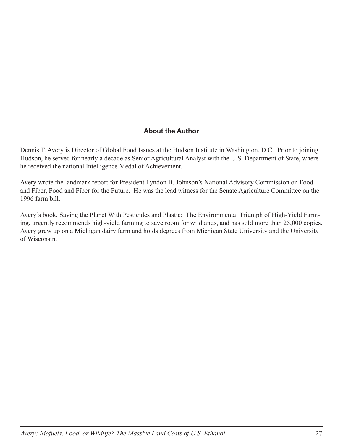#### **About the Author**

Dennis T. Avery is Director of Global Food Issues at the Hudson Institute in Washington, D.C. Prior to joining Hudson, he served for nearly a decade as Senior Agricultural Analyst with the U.S. Department of State, where he received the national Intelligence Medal of Achievement.

Avery wrote the landmark report for President Lyndon B. Johnson's National Advisory Commission on Food and Fiber, Food and Fiber for the Future. He was the lead witness for the Senate Agriculture Committee on the 1996 farm bill.

Avery's book, Saving the Planet With Pesticides and Plastic: The Environmental Triumph of High-Yield Farming, urgently recommends high-yield farming to save room for wildlands, and has sold more than 25,000 copies. Avery grew up on a Michigan dairy farm and holds degrees from Michigan State University and the University of Wisconsin.